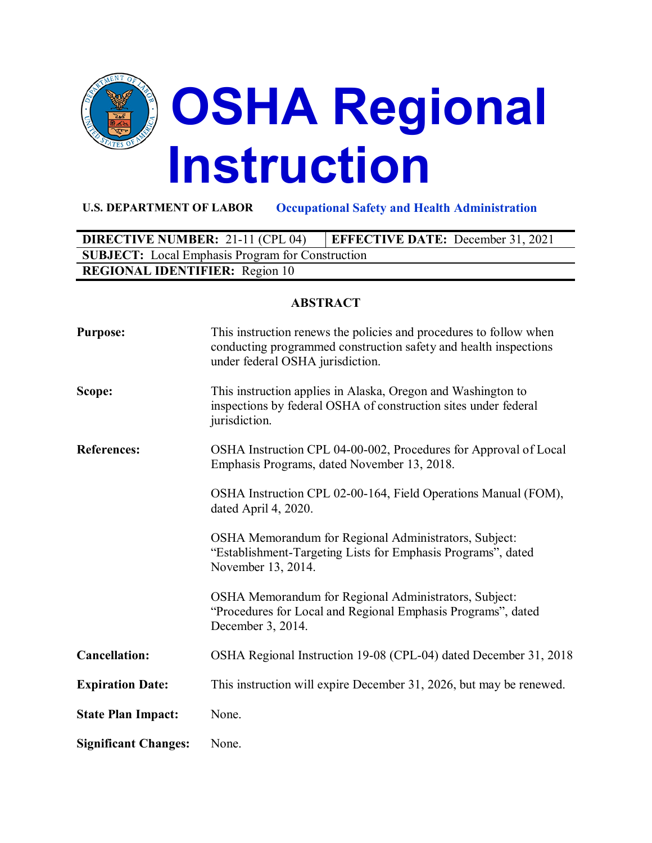

#### **U.S. DEPARTMENT OF LABOR Occupational Safety and Health Administration**

# **DIRECTIVE NUMBER:** 21-11 (CPL 04) **EFFECTIVE DATE:** December 31, 2021 **SUBJECT:** Local Emphasis Program for Construction **REGIONAL IDENTIFIER:** Region 10

#### **ABSTRACT**

| <b>Purpose:</b>             | This instruction renews the policies and procedures to follow when<br>conducting programmed construction safety and health inspections<br>under federal OSHA jurisdiction. |
|-----------------------------|----------------------------------------------------------------------------------------------------------------------------------------------------------------------------|
| Scope:                      | This instruction applies in Alaska, Oregon and Washington to<br>inspections by federal OSHA of construction sites under federal<br>jurisdiction.                           |
| <b>References:</b>          | OSHA Instruction CPL 04-00-002, Procedures for Approval of Local<br>Emphasis Programs, dated November 13, 2018.                                                            |
|                             | OSHA Instruction CPL 02-00-164, Field Operations Manual (FOM),<br>dated April 4, 2020.                                                                                     |
|                             | OSHA Memorandum for Regional Administrators, Subject:<br>"Establishment-Targeting Lists for Emphasis Programs", dated<br>November 13, 2014.                                |
|                             | OSHA Memorandum for Regional Administrators, Subject:<br>"Procedures for Local and Regional Emphasis Programs", dated<br>December 3, 2014.                                 |
| <b>Cancellation:</b>        | OSHA Regional Instruction 19-08 (CPL-04) dated December 31, 2018                                                                                                           |
| <b>Expiration Date:</b>     | This instruction will expire December 31, 2026, but may be renewed.                                                                                                        |
| <b>State Plan Impact:</b>   | None.                                                                                                                                                                      |
| <b>Significant Changes:</b> | None.                                                                                                                                                                      |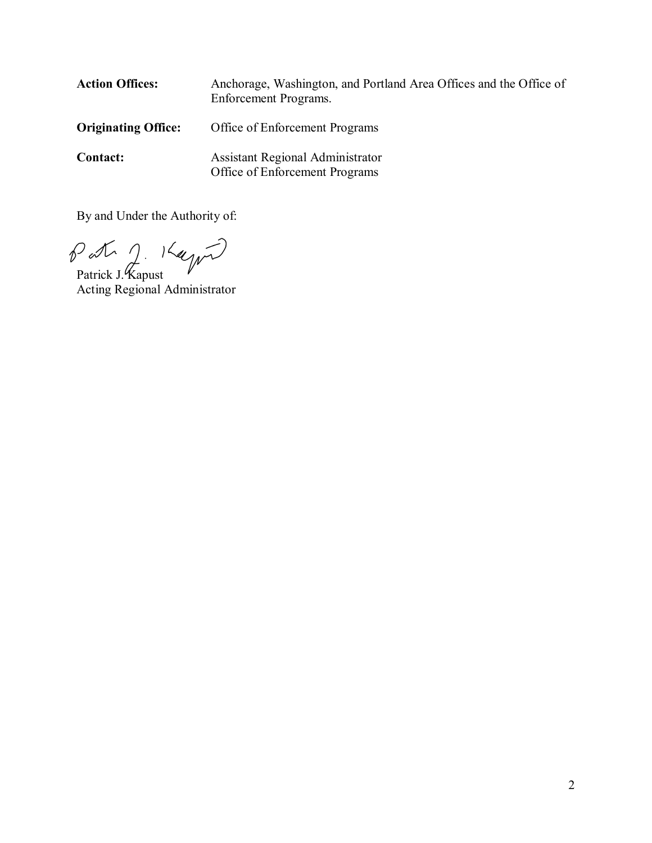| <b>Action Offices:</b>     | Anchorage, Washington, and Portland Area Offices and the Office of<br>Enforcement Programs. |
|----------------------------|---------------------------------------------------------------------------------------------|
| <b>Originating Office:</b> | Office of Enforcement Programs                                                              |
| <b>Contact:</b>            | Assistant Regional Administrator<br>Office of Enforcement Programs                          |

By and Under the Authority of:

Patrick J. Kapust

Acting Regional Administrator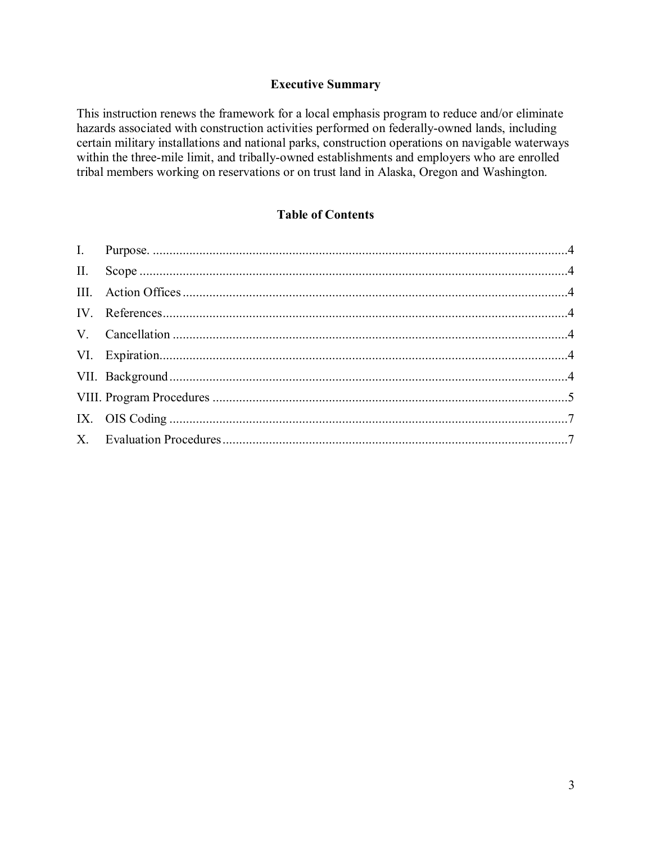### **Executive Summary**

This instruction renews the framework for a local emphasis program to reduce and/or eliminate hazards associated with construction activities performed on federally-owned lands, including certain military installations and national parks, construction operations on navigable waterways within the three-mile limit, and tribally-owned establishments and employers who are enrolled tribal members working on reservations or on trust land in Alaska, Oregon and Washington.

### **Table of Contents**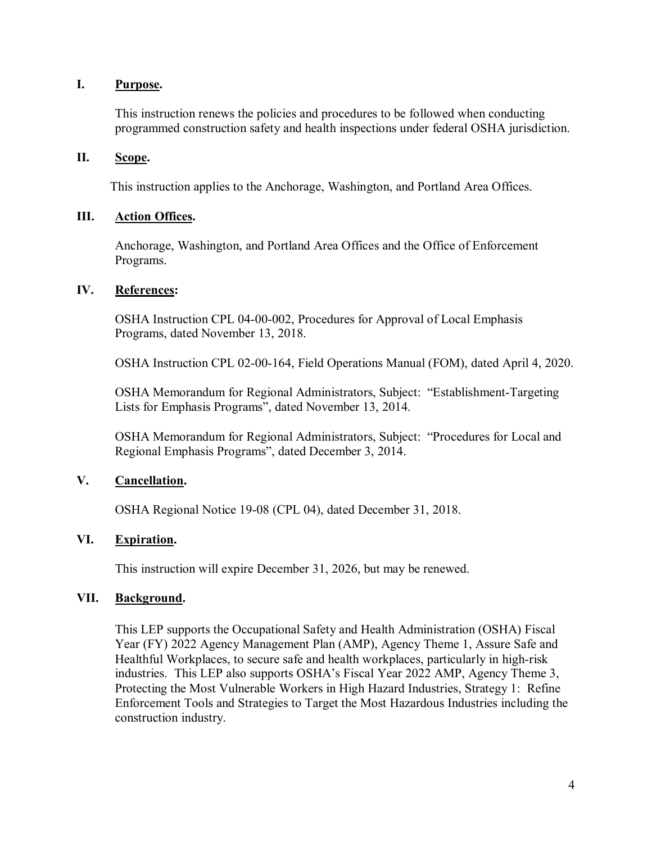#### <span id="page-3-0"></span>**I. Purpose.**

This instruction renews the policies and procedures to be followed when conducting programmed construction safety and health inspections under federal OSHA jurisdiction.

### <span id="page-3-1"></span>**II. Scope.**

This instruction applies to the Anchorage, Washington, and Portland Area Offices.

### <span id="page-3-2"></span>**III. Action Offices.**

Anchorage, Washington, and Portland Area Offices and the Office of Enforcement Programs.

### <span id="page-3-3"></span>**IV. References:**

OSHA Instruction CPL 04-00-002, Procedures for Approval of Local Emphasis Programs, dated November 13, 2018.

OSHA Instruction CPL 02-00-164, Field Operations Manual (FOM), dated April 4, 2020.

OSHA Memorandum for Regional Administrators, Subject: "Establishment-Targeting Lists for Emphasis Programs", dated November 13, 2014.

OSHA Memorandum for Regional Administrators, Subject: "Procedures for Local and Regional Emphasis Programs", dated December 3, 2014.

### <span id="page-3-4"></span>**V. Cancellation.**

OSHA Regional Notice 19-08 (CPL 04), dated December 31, 2018.

### <span id="page-3-5"></span>**VI. Expiration.**

This instruction will expire December 31, 2026, but may be renewed.

#### <span id="page-3-6"></span>**VII. Background.**

This LEP supports the Occupational Safety and Health Administration (OSHA) Fiscal Year (FY) 2022 Agency Management Plan (AMP), Agency Theme 1, Assure Safe and Healthful Workplaces, to secure safe and health workplaces, particularly in high-risk industries. This LEP also supports OSHA's Fiscal Year 2022 AMP, Agency Theme 3, Protecting the Most Vulnerable Workers in High Hazard Industries, Strategy 1: Refine Enforcement Tools and Strategies to Target the Most Hazardous Industries including the construction industry.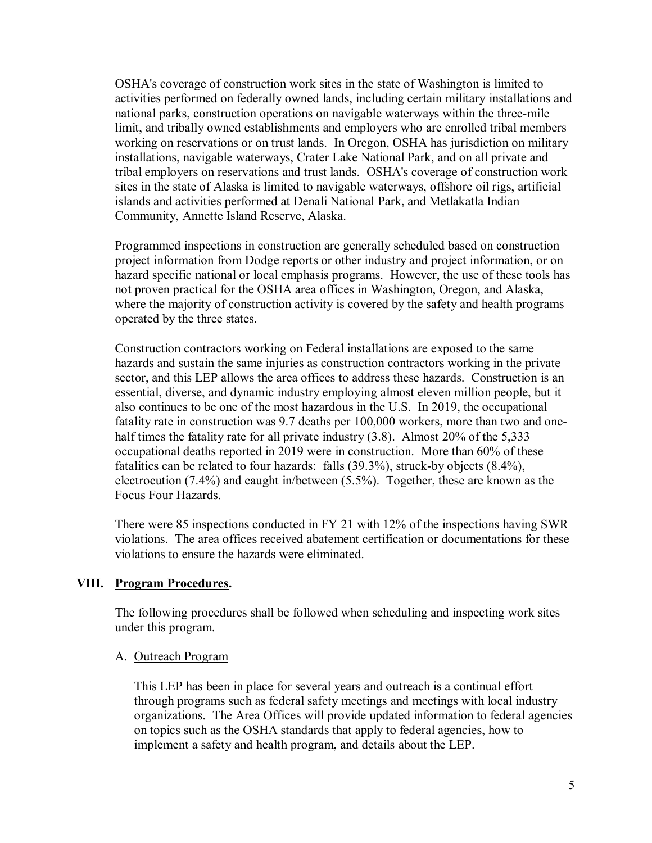OSHA's coverage of construction work sites in the state of Washington is limited to activities performed on federally owned lands, including certain military installations and national parks, construction operations on navigable waterways within the three-mile limit, and tribally owned establishments and employers who are enrolled tribal members working on reservations or on trust lands. In Oregon, OSHA has jurisdiction on military installations, navigable waterways, Crater Lake National Park, and on all private and tribal employers on reservations and trust lands. OSHA's coverage of construction work sites in the state of Alaska is limited to navigable waterways, offshore oil rigs, artificial islands and activities performed at Denali National Park, and Metlakatla Indian Community, Annette Island Reserve, Alaska.

Programmed inspections in construction are generally scheduled based on construction project information from Dodge reports or other industry and project information, or on hazard specific national or local emphasis programs. However, the use of these tools has not proven practical for the OSHA area offices in Washington, Oregon, and Alaska, where the majority of construction activity is covered by the safety and health programs operated by the three states.

Construction contractors working on Federal installations are exposed to the same hazards and sustain the same injuries as construction contractors working in the private sector, and this LEP allows the area offices to address these hazards. Construction is an essential, diverse, and dynamic industry employing almost eleven million people, but it also continues to be one of the most hazardous in the U.S. In 2019, the occupational fatality rate in construction was 9.7 deaths per 100,000 workers, more than two and onehalf times the fatality rate for all private industry (3.8). Almost 20% of the 5,333 occupational deaths reported in 2019 were in construction. More than 60% of these fatalities can be related to four hazards: falls (39.3%), struck-by objects (8.4%), electrocution (7.4%) and caught in/between (5.5%). Together, these are known as the Focus Four Hazards.

There were 85 inspections conducted in FY 21 with 12% of the inspections having SWR violations. The area offices received abatement certification or documentations for these violations to ensure the hazards were eliminated.

#### <span id="page-4-0"></span>**VIII. Program Procedures.**

The following procedures shall be followed when scheduling and inspecting work sites under this program.

#### A. Outreach Program

This LEP has been in place for several years and outreach is a continual effort through programs such as federal safety meetings and meetings with local industry organizations. The Area Offices will provide updated information to federal agencies on topics such as the OSHA standards that apply to federal agencies, how to implement a safety and health program, and details about the LEP.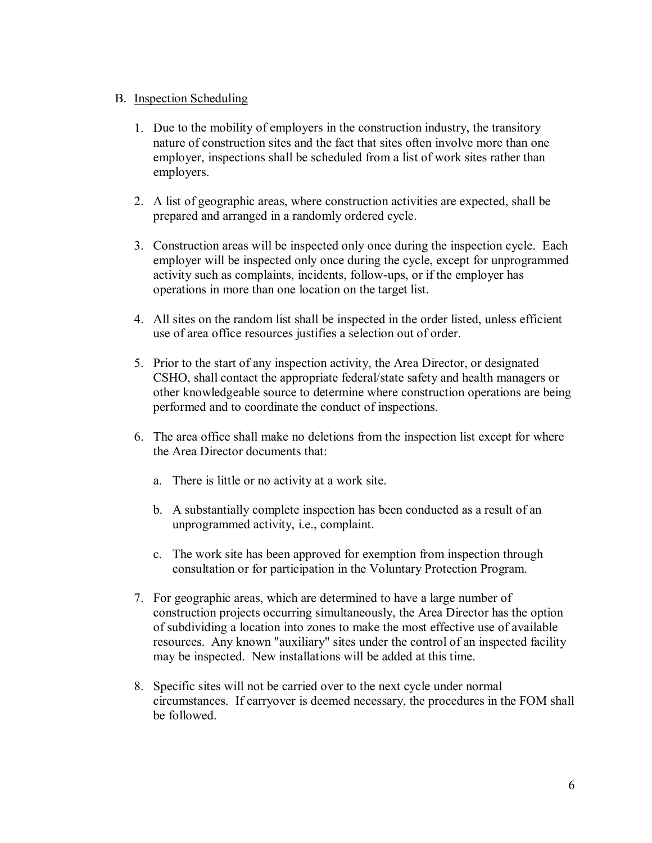- B. Inspection Scheduling
	- 1. Due to the mobility of employers in the construction industry, the transitory nature of construction sites and the fact that sites often involve more than one employer, inspections shall be scheduled from a list of work sites rather than employers.
	- 2. A list of geographic areas, where construction activities are expected, shall be prepared and arranged in a randomly ordered cycle.
	- 3. Construction areas will be inspected only once during the inspection cycle. Each employer will be inspected only once during the cycle, except for unprogrammed activity such as complaints, incidents, follow-ups, or if the employer has operations in more than one location on the target list.
	- 4. All sites on the random list shall be inspected in the order listed, unless efficient use of area office resources justifies a selection out of order.
	- 5. Prior to the start of any inspection activity, the Area Director, or designated CSHO, shall contact the appropriate federal/state safety and health managers or other knowledgeable source to determine where construction operations are being performed and to coordinate the conduct of inspections.
	- 6. The area office shall make no deletions from the inspection list except for where the Area Director documents that:
		- a. There is little or no activity at a work site.
		- b. A substantially complete inspection has been conducted as a result of an unprogrammed activity, i.e., complaint.
		- c. The work site has been approved for exemption from inspection through consultation or for participation in the Voluntary Protection Program.
	- 7. For geographic areas, which are determined to have a large number of construction projects occurring simultaneously, the Area Director has the option of subdividing a location into zones to make the most effective use of available resources. Any known "auxiliary" sites under the control of an inspected facility may be inspected. New installations will be added at this time.
	- 8. Specific sites will not be carried over to the next cycle under normal circumstances. If carryover is deemed necessary, the procedures in the FOM shall be followed.